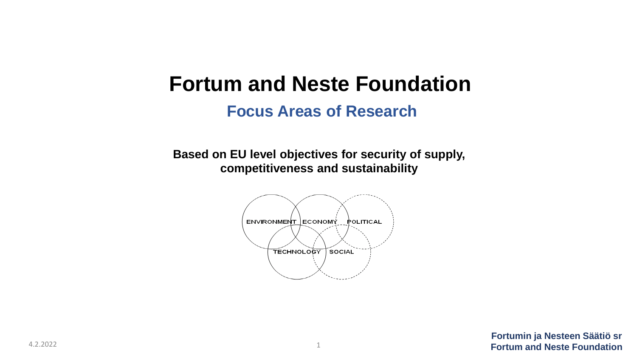#### **Fortum and Neste Foundation**

#### **Focus Areas of Research**

**Based on EU level objectives for security of supply, competitiveness and sustainability**

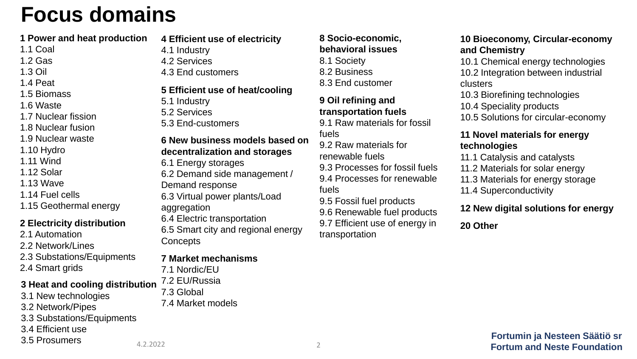### **Focus domains**

#### **1 Power and heat production**

- 1.1 Coal
- 1.2 Gas
- 1.3 Oil
- 1.4 Peat
- 1.5 Biomass
- 1.6 Waste
- 1.7 Nuclear fission
- 1.8 Nuclear fusion
- 1.9 Nuclear waste
- 1.10 Hydro
- 1.11 Wind
- 1.12 Solar
- 1.13 Wave
- 1.14 Fuel cells
- 1.15 Geothermal energy

#### **2 Electricity distribution**

- 2.1 Automation
- 2.2 Network/Lines
- 2.3 Substations/Equipments
- 2.4 Smart grids

#### **3 Heat and cooling distribution**

- 3.1 New technologies
- 3.2 Network/Pipes
- 3.3 Substations/Equipments
- 3.4 Efficient use

3.5 Prosumers

**4 Efficient use of electricity**

- 4.1 Industry
- 4.2 Services
- 4.3 End customers

#### **5 Efficient use of heat/cooling**

- 5.1 Industry
- 5.2 Services
- 5.3 End-customers

#### **6 New business models based on decentralization and storages**

- 6.1 Energy storages
- 6.2 Demand side management /
- Demand response
- 6.3 Virtual power plants/Load aggregation
- 6.4 Electric transportation
- 6.5 Smart city and regional energy **Concepts**

#### **7 Market mechanisms**

- 7.1 Nordic/EU
- 7.2 EU/Russia
- 7.3 Global
- 7.4 Market models

#### **8 Socio-economic, behavioral issues** 8.1 Society

- 8.2 Business
- 8.3 End customer

#### **9 Oil refining and transportation fuels**

- 9.1 Raw materials for fossil fuels
- 9.2 Raw materials for
- renewable fuels
- 9.3 Processes for fossil fuels 9.4 Processes for renewable
- fuels 9.5 Fossil fuel products
- 9.6 Renewable fuel products
- 9.7 Efficient use of energy in transportation

#### **10 Bioeconomy, Circular-economy and Chemistry**

- 10.1 Chemical energy technologies 10.2 Integration between industrial clusters
- 10.3 Biorefining technologies 10.4 Speciality products
- 10.5 Solutions for circular-economy

#### **11 Novel materials for energy technologies**

- 11.1 Catalysis and catalysts
- 11.2 Materials for solar energy
- 11.3 Materials for energy storage
- 11.4 Superconductivity

#### **12 New digital solutions for energy**

**20 Other**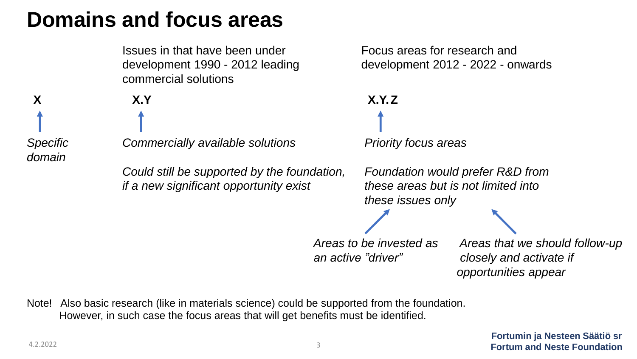# **Domains and focus areas**

Issues in that have been under Focus areas for research and development 1990 - 2012 leading development 2012 - 2022 - onwards commercial solutions

*domain*



*an active "driver" closely and activate if opportunities appear*

Note! Also basic research (like in materials science) could be supported from the foundation. However, in such case the focus areas that will get benefits must be identified.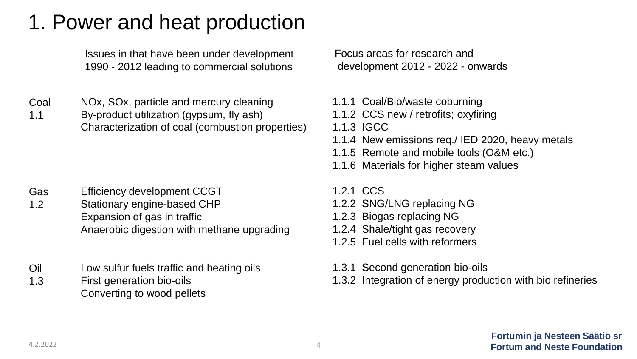Issues in that have been under development 1990 - 2012 leading to commercial solutions

- Coal NOx, SOx, particle and mercury cleaning
- 1.1 By-product utilization (gypsum, fly ash) Characterization of coal (combustion properties)

- Gas 1.2 Efficiency development CCGT Stationary engine-based CHP Expansion of gas in traffic Anaerobic digestion with methane upgrading
- Oil 1.3 Low sulfur fuels traffic and heating oils First generation bio-oils Converting to wood pellets

- 1.1.1 Coal/Bio/waste coburning
- 1.1.2 CCS new / retrofits; oxyfiring
- 1.1.3 IGCC
- 1.1.4 New emissions req./ IED 2020, heavy metals
- 1.1.5 Remote and mobile tools (O&M etc.)
- 1.1.6 Materials for higher steam values
- 1.2.1 CCS
- 1.2.2 SNG/LNG replacing NG
- 1.2.3 Biogas replacing NG
- 1.2.4 Shale/tight gas recovery
- 1.2.5 Fuel cells with reformers
- 1.3.1 Second generation bio-oils
- 1.3.2 Integration of energy production with bio refineries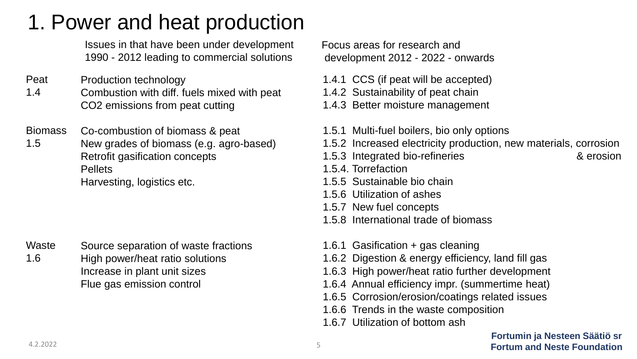Issues in that have been under development 1990 - 2012 leading to commercial solutions

- Peat 1.4 Production technology
	- Combustion with diff. fuels mixed with peat CO2 emissions from peat cutting
- Biomass Co-combustion of biomass & peat
- 1.5 New grades of biomass (e.g. agro-based) Retrofit gasification concepts **Pellets** Harvesting, logistics etc.

Waste 1.6 Source separation of waste fractions High power/heat ratio solutions Increase in plant unit sizes Flue gas emission control

Focus areas for research and development 2012 - 2022 - onwards

- 1.4.1 CCS (if peat will be accepted)
- 1.4.2 Sustainability of peat chain
- 1.4.3 Better moisture management
- 1.5.1 Multi-fuel boilers, bio only options
- 1.5.2 Increased electricity production, new materials, corrosion
- 1.5.3 Integrated bio-refineries & erosion
- 
- 1.5.4. Torrefaction
- 1.5.5 Sustainable bio chain
- 1.5.6 Utilization of ashes
- 1.5.7 New fuel concepts
- 1.5.8 International trade of biomass
- 1.6.1 Gasification + gas cleaning
- 1.6.2 Digestion & energy efficiency, land fill gas
- 1.6.3 High power/heat ratio further development
- 1.6.4 Annual efficiency impr. (summertime heat)
- 1.6.5 Corrosion/erosion/coatings related issues
- 1.6.6 Trends in the waste composition
- 1.6.7 Utilization of bottom ash

**Fortumin ja Nesteen Säätiö sr** 5 **Fortum and Neste Foundation** 4.2.2022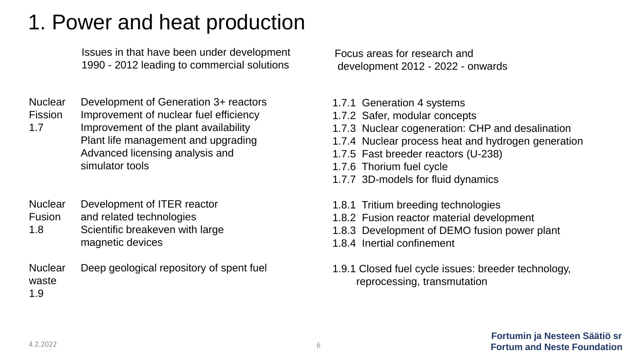Issues in that have been under development 1990 - 2012 leading to commercial solutions

- **Nuclear** Development of Generation 3+ reactors
- Fission Improvement of nuclear fuel efficiency
- 1.7 Improvement of the plant availability Plant life management and upgrading Advanced licensing analysis and simulator tools
- **Nuclear** Fusion Development of ITER reactor and related technologies
- 1.8 Scientific breakeven with large magnetic devices
- **Nuclear** waste 1.9 Deep geological repository of spent fuel

- 1.7.1 Generation 4 systems
- 1.7.2 Safer, modular concepts
- 1.7.3 Nuclear cogeneration: CHP and desalination
- 1.7.4 Nuclear process heat and hydrogen generation
- 1.7.5 Fast breeder reactors (U-238)
- 1.7.6 Thorium fuel cycle
- 1.7.7 3D-models for fluid dynamics
- 1.8.1 Tritium breeding technologies
- 1.8.2 Fusion reactor material development
- 1.8.3 Development of DEMO fusion power plant
- 1.8.4 Inertial confinement
- 1.9.1 Closed fuel cycle issues: breeder technology, reprocessing, transmutation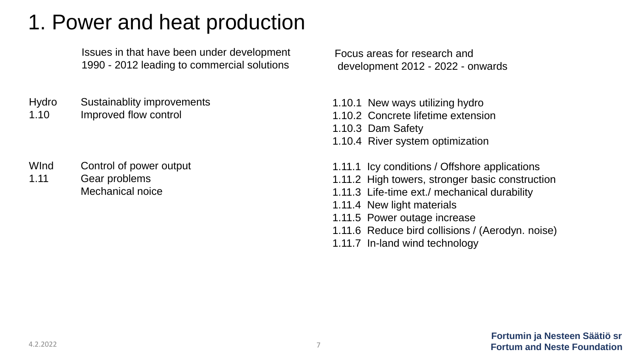Issues in that have been under development 1990 - 2012 leading to commercial solutions

Hydro 1.10 Sustainablity improvements Improved flow control

WInd 1.11 Control of power output Gear problems Mechanical noice

- 1.10.1 New ways utilizing hydro
- 1.10.2 Concrete lifetime extension
- 1.10.3 Dam Safety
- 1.10.4 River system optimization
- 1.11.1 Icy conditions / Offshore applications
- 1.11.2 High towers, stronger basic construction
- 1.11.3 Life-time ext./ mechanical durability
- 1.11.4 New light materials
- 1.11.5 Power outage increase
- 1.11.6 Reduce bird collisions / (Aerodyn. noise)
- 1.11.7 In-land wind technology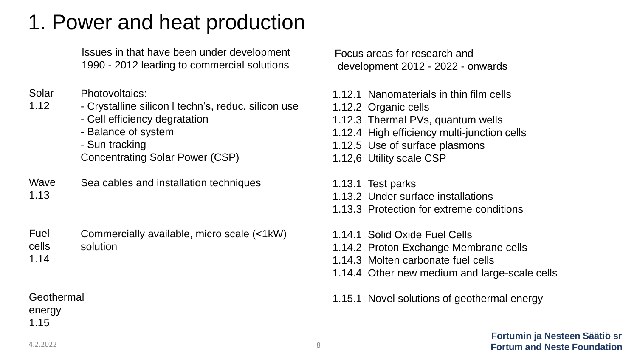| Issues in that have been under development  |
|---------------------------------------------|
| 1990 - 2012 leading to commercial solutions |

- Solar Photovoltaics:
- 1.12 - Crystalline silicon l techn's, reduc. silicon use
	- Cell efficiency degratation
	- Balance of system
	- Sun tracking Concentrating Solar Power (CSP)
- Wave 1.13 Sea cables and installation techniques

Fuel cells Commercially available, micro scale (<1kW) solution

1.14

Geothermal energy 1.15

Focus areas for research and development 2012 - 2022 - onwards

- 1.12.1 Nanomaterials in thin film cells
- 1.12.2 Organic cells
- 1.12.3 Thermal PVs, quantum wells
- 1.12.4 High efficiency multi-junction cells
- 1.12.5 Use of surface plasmons
- 1.12,6 Utility scale CSP
- 1.13.1 Test parks
- 1.13.2 Under surface installations
- 1.13.3 Protection for extreme conditions
- 1.14.1 Solid Oxide Fuel Cells
- 1.14.2 Proton Exchange Membrane cells
- 1.14.3 Molten carbonate fuel cells
- 1.14.4 Other new medium and large-scale cells
- 1.15.1 Novel solutions of geothermal energy

**Fortumin ja Nesteen Säätiö sr** 8 **Fortum and Neste Foundation** 4.2.2022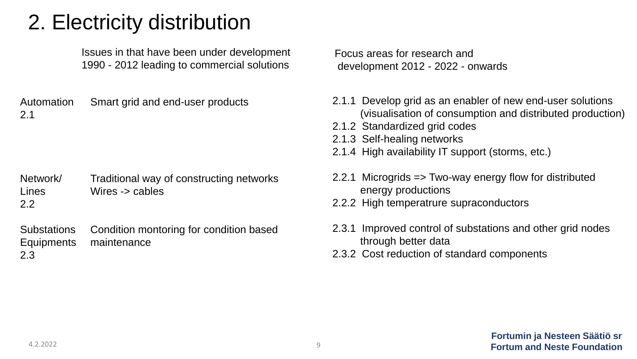# 2. Electricity distribution

Issues in that have been under development 1990 - 2012 leading to commercial solutions

Automation 2.1 Smart grid and end-user products

Network/ Lines 2.2 Traditional way of constructing networks Wires -> cables

**Substations Equipments** 2.3 Condition montoring for condition based maintenance

- 2.1.1 Develop grid as an enabler of new end-user solutions (visualisation of consumption and distributed production)
- 2.1.2 Standardized grid codes
- 2.1.3 Self-healing networks
- 2.1.4 High availability IT support (storms, etc.)
- 2.2.1 Microgrids => Two-way energy flow for distributed energy productions
- 2.2.2 High temperatrure supraconductors
- 2.3.1 Improved control of substations and other grid nodes through better data
- 2.3.2 Cost reduction of standard components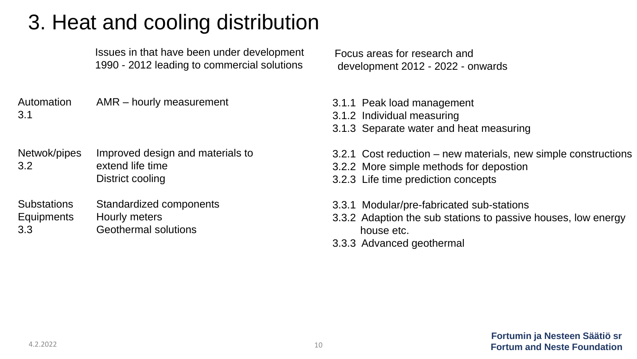# 3. Heat and cooling distribution

Issues in that have been under development 1990 - 2012 leading to commercial solutions

Automation 3.1 AMR – hourly measurement

- Netwok/pipes 3.2 Improved design and materials to extend life time District cooling
- **Substations Equipments** 3.3 Standardized components Hourly meters Geothermal solutions

- 3.1.1 Peak load management
- 3.1.2 Individual measuring
- 3.1.3 Separate water and heat measuring
- 3.2.1 Cost reduction new materials, new simple constructions
- 3.2.2 More simple methods for depostion
- 3.2.3 Life time prediction concepts
- 3.3.1 Modular/pre-fabricated sub-stations
- 3.3.2 Adaption the sub stations to passive houses, low energy house etc.
- 3.3.3 Advanced geothermal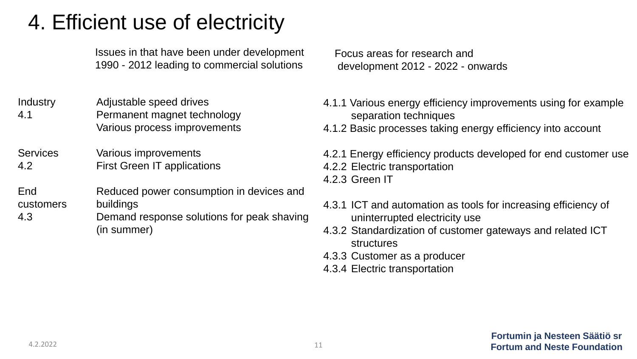## 4. Efficient use of electricity

Issues in that have been under development 1990 - 2012 leading to commercial solutions

**Industry** 4.1 Adjustable speed drives Permanent magnet technology Various process improvements

**Services** 4.2 Various improvements First Green IT applications

**End** customers 4.3 Reduced power consumption in devices and buildings

Demand response solutions for peak shaving (in summer)

Focus areas for research and development 2012 - 2022 - onwards

4.1.1 Various energy efficiency improvements using for example separation techniques

4.1.2 Basic processes taking energy efficiency into account

4.2.1 Energy efficiency products developed for end customer use

- 4.2.2 Electric transportation
- 4.2.3 Green IT
- 4.3.1 ICT and automation as tools for increasing efficiency of uninterrupted electricity use
- 4.3.2 Standardization of customer gateways and related ICT structures
- 4.3.3 Customer as a producer
- 4.3.4 Electric transportation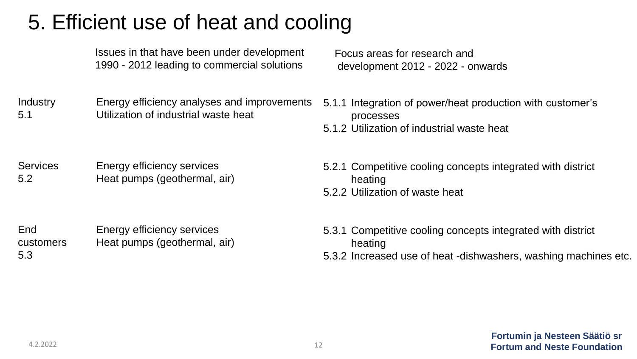# 5. Efficient use of heat and cooling

| Issues in that have been under development  |
|---------------------------------------------|
| 1990 - 2012 leading to commercial solutions |

**Industry** 5.1 Energy efficiency analyses and improvements Utilization of industrial waste heat

Focus areas for research and development 2012 - 2022 - onwards

- 5.1.1 Integration of power/heat production with customer's processes
- 5.1.2 Utilization of industrial waste heat

**Services** 5.2 Energy efficiency services Heat pumps (geothermal, air)

- 5.2.1 Competitive cooling concepts integrated with district heating
- 5.2.2 Utilization of waste heat

**End** customers 5.3 Energy efficiency services Heat pumps (geothermal, air)

- 5.3.1 Competitive cooling concepts integrated with district heating
- 5.3.2 Increased use of heat -dishwashers, washing machines etc.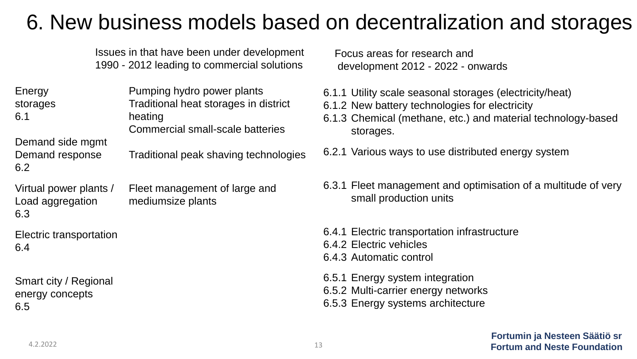### 6. New business models based on decentralization and storages

Issues in that have been under development 1990 - 2012 leading to commercial solutions

| Energy<br>storages<br>6.1 | Pumping hydro power plants<br>Traditional heat storages in district<br>heating |  |
|---------------------------|--------------------------------------------------------------------------------|--|
| Demand side mgmt          | Commercial small-scale batteries                                               |  |
| Demand response<br>6.2    | Traditional peak shaving technologies                                          |  |
| Virtual nower plants /    | Fleet management of large and                                                  |  |

Virtual power plants / Load aggregation 6.3 Fleet management of large and mediumsize plants

Electric transportation 6.4

Smart city / Regional energy concepts 6.5

- 6.1.1 Utility scale seasonal storages (electricity/heat)
- 6.1.2 New battery technologies for electricity
- 6.1.3 Chemical (methane, etc.) and material technology-based storages.
- 6.2.1 Various ways to use distributed energy system
- 6.3.1 Fleet management and optimisation of a multitude of very small production units
- 6.4.1 Electric transportation infrastructure
- 6.4.2 Electric vehicles
- 6.4.3 Automatic control
- 6.5.1 Energy system integration
- 6.5.2 Multi-carrier energy networks
- 6.5.3 Energy systems architecture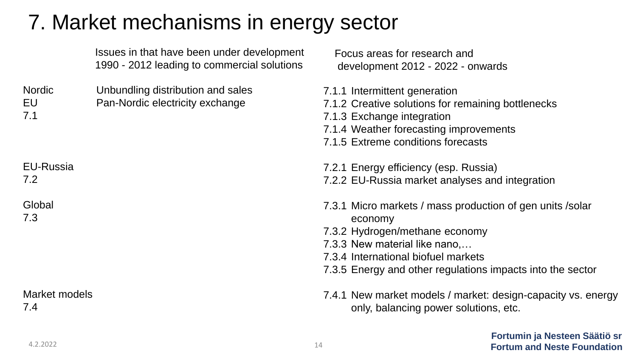### 7. Market mechanisms in energy sector

|                            | Issues in that have been under development<br>1990 - 2012 leading to commercial solutions | Focus areas for research and<br>development 2012 - 2022 - onwards                                                                                                                                                                            |
|----------------------------|-------------------------------------------------------------------------------------------|----------------------------------------------------------------------------------------------------------------------------------------------------------------------------------------------------------------------------------------------|
| <b>Nordic</b><br>EU<br>7.1 | Unbundling distribution and sales<br>Pan-Nordic electricity exchange                      | 7.1.1 Intermittent generation<br>7.1.2 Creative solutions for remaining bottlenecks<br>7.1.3 Exchange integration<br>7.1.4 Weather forecasting improvements<br>7.1.5 Extreme conditions forecasts                                            |
| <b>EU-Russia</b><br>7.2    |                                                                                           | 7.2.1 Energy efficiency (esp. Russia)<br>7.2.2 EU-Russia market analyses and integration                                                                                                                                                     |
| Global<br>7.3              |                                                                                           | 7.3.1 Micro markets / mass production of gen units /solar<br>economy<br>7.3.2 Hydrogen/methane economy<br>7.3.3 New material like nano,<br>7.3.4 International biofuel markets<br>7.3.5 Energy and other regulations impacts into the sector |
| Market models<br>7.4       |                                                                                           | 7.4.1 New market models / market: design-capacity vs. energy<br>only, balancing power solutions, etc.                                                                                                                                        |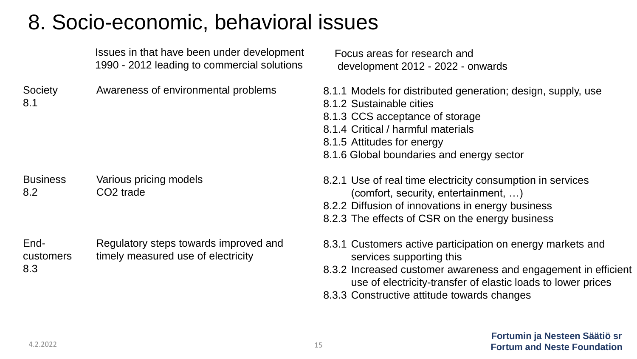## 8. Socio-economic, behavioral issues

|                          | Issues in that have been under development<br>1990 - 2012 leading to commercial solutions | Focus areas for research and<br>development 2012 - 2022 - c                                                                                                                                           |
|--------------------------|-------------------------------------------------------------------------------------------|-------------------------------------------------------------------------------------------------------------------------------------------------------------------------------------------------------|
| Society<br>8.1           | Awareness of environmental problems                                                       | 8.1.1 Models for distributed gen<br>8.1.2 Sustainable cities<br>8.1.3 CCS acceptance of storage<br>8.1.4 Critical / harmful materials<br>8.1.5 Attitudes for energy<br>8.1.6 Global boundaries and en |
| <b>Business</b><br>8.2   | Various pricing models<br>CO <sub>2</sub> trade                                           | 8.2.1 Use of real time electricity<br>(comfort, security, entertal<br>8.2.2 Diffusion of innovations in<br>8.2.3 The effects of CSR on the                                                            |
| End-<br>customers<br>8.3 | Regulatory steps towards improved and<br>timely measured use of electricity               | 8.3.1 Customers active participa<br>services supporting this<br>8.3.2 Increased customer aware                                                                                                        |

Focus areas for research and development 2012

- eration; design, supply, use
- 8.1.3 CCS acceptance of storage
- 8.1.4 Critical / harmful materials
- ergy sector
- or consumption in services  $S$  inment,  $\ldots$ )
- energy business
- e energy business
- ation on energy markets and
- eness and engagement in efficient use of electricity-transfer of elastic loads to lower prices
- 8.3.3 Constructive attitude towards changes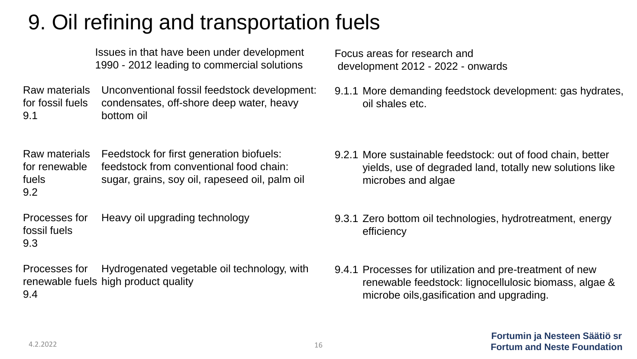## 9. Oil refining and transportation fuels

Issues in that have been under development 1990 - 2012 leading to commercial solutions

Raw materials for fossil fuels 9.1 Unconventional fossil feedstock development: condensates, off-shore deep water, heavy bottom oil

Raw materials for renewable fuels 9.2 Feedstock for first generation biofuels: feedstock from conventional food chain: sugar, grains, soy oil, rapeseed oil, palm oil

Processes for fossil fuels 9.3 Heavy oil upgrading technology

Processes for renewable fuels high product quality 9.4 Hydrogenated vegetable oil technology, with Focus areas for research and development 2012 - 2022 - onwards

9.1.1 More demanding feedstock development: gas hydrates, oil shales etc.

- 9.2.1 More sustainable feedstock: out of food chain, better yields, use of degraded land, totally new solutions like microbes and algae
- 9.3.1 Zero bottom oil technologies, hydrotreatment, energy efficiency
- 9.4.1 Processes for utilization and pre-treatment of new renewable feedstock: lignocellulosic biomass, algae & microbe oils,gasification and upgrading.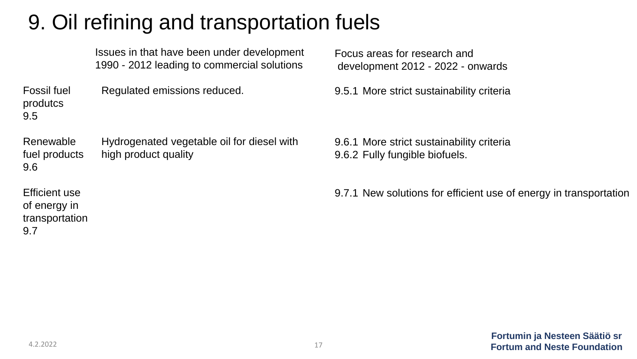## 9. Oil refining and transportation fuels

| Issues in that have been under development  |
|---------------------------------------------|
| 1990 - 2012 leading to commercial solutions |

Fossil fuel produtcs 9.5 Regulated emissions reduced.

Renewable fuel products 9.6 Hydrogenated vegetable oil for diesel with high product quality

Efficient use of energy in transportation 9.7

Focus areas for research and development 2012 - 2022 - onwards

9.5.1 More strict sustainability criteria

9.6.1 More strict sustainability criteria 9.6.2 Fully fungible biofuels.

9.7.1 New solutions for efficient use of energy in transportation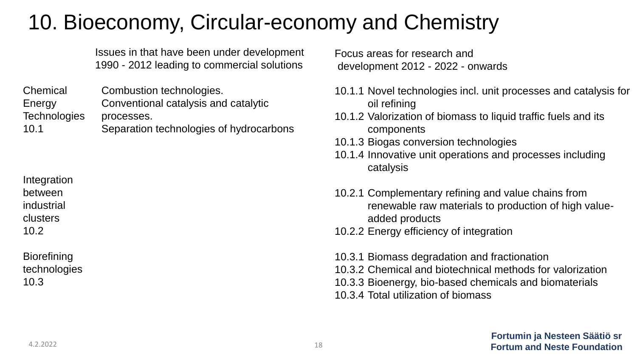# 10. Bioeconomy, Circular-economy and Chemistry

Issues in that have been under development 1990 - 2012 leading to commercial solutions

Chemical Energy **Technologies** 10.1 Combustion technologies. Conventional catalysis and catalytic processes. Separation technologies of hydrocarbons

Integration between industrial clusters 10.2

**Biorefining** technologies 10.3

Focus areas for research and development 2012 - 2022 - onwards

- 10.1.1 Novel technologies incl. unit processes and catalysis for oil refining
- 10.1.2 Valorization of biomass to liquid traffic fuels and its components
- 10.1.3 Biogas conversion technologies
- 10.1.4 Innovative unit operations and processes including catalysis
- 10.2.1 Complementary refining and value chains from renewable raw materials to production of high valueadded products
- 10.2.2 Energy efficiency of integration

10.3.1 Biomass degradation and fractionation 10.3.2 Chemical and biotechnical methods for valorization 10.3.3 Bioenergy, bio-based chemicals and biomaterials 10.3.4 Total utilization of biomass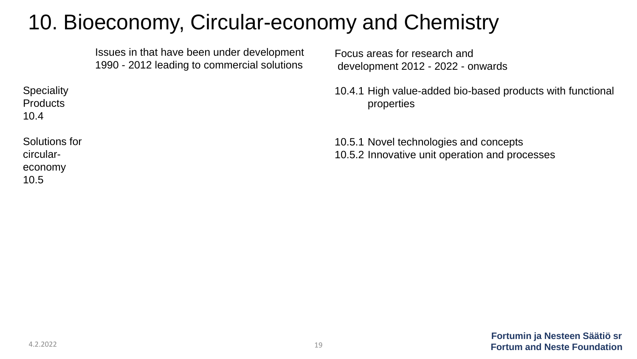# 10. Bioeconomy, Circular-economy and Chemistry

Issues in that have been under development 1990 - 2012 leading to commercial solutions

Focus areas for research and development 2012 - 2022 - onwards

10.4.1 High value-added bio-based products with functional properties

10.5.1 Novel technologies and concepts 10.5.2 Innovative unit operation and processes

**Speciality Products** 10.4

Solutions for circulareconomy 10.5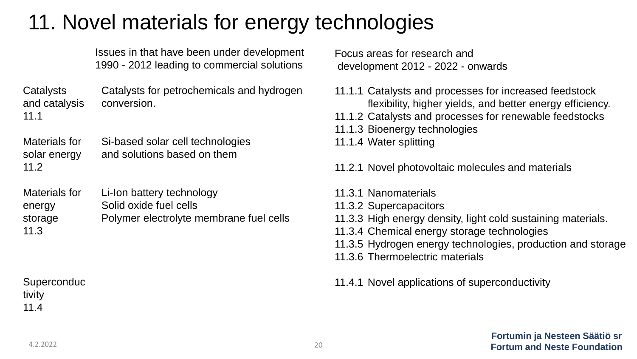### 11. Novel materials for energy technologies

Issues in that have been under development 1990 - 2012 leading to commercial solutions

**Catalysts** and catalysis 11.1 Catalysts for petrochemicals and hydrogen conversion.

Materials for solar energy 11.2 Si-based solar cell technologies and solutions based on them

Materials for energy storage 11.3 Li-Ion battery technology Solid oxide fuel cells Polymer electrolyte membrane fuel cells

**Superconduc** tivity 11.4

Focus areas for research and development 2012 - 2022 - onwards

- 11.1.1 Catalysts and processes for increased feedstock flexibility, higher yields, and better energy efficiency.
- 11.1.2 Catalysts and processes for renewable feedstocks
- 11.1.3 Bioenergy technologies
- 11.1.4 Water splitting

11.2.1 Novel photovoltaic molecules and materials

- 11.3.1 Nanomaterials
- 11.3.2 Supercapacitors
- 11.3.3 High energy density, light cold sustaining materials.
- 11.3.4 Chemical energy storage technologies
- 11.3.5 Hydrogen energy technologies, production and storage
- 11.3.6 Thermoelectric materials
- 11.4.1 Novel applications of superconductivity